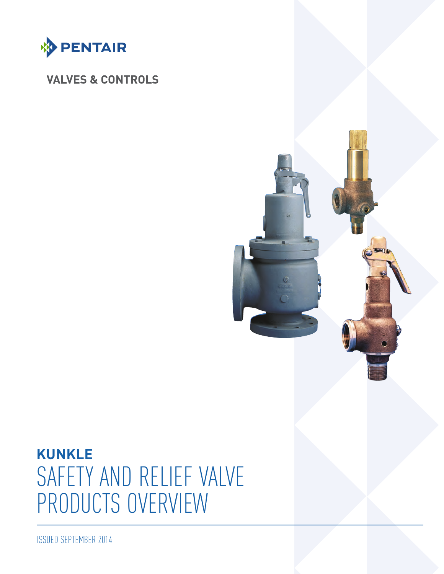

# **VALVES & CONTROLS**



# **KUNKLE** SAFETY AND RELIEF VALVE PRODUCTS OVERVIEW

ISSUED SEPTEMBER 2014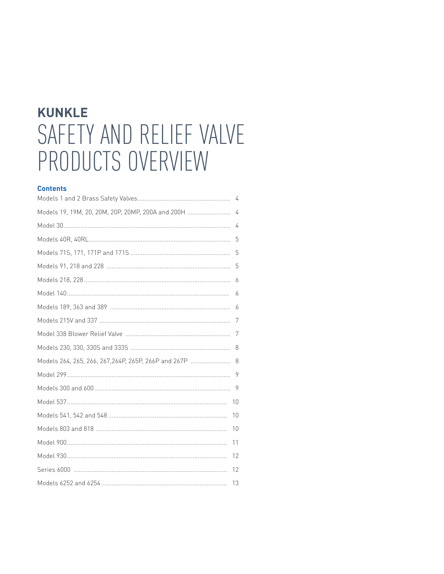# **KUNKLE** SAFETY AND RELIEF VALVE PRODUCTS OVERVIEW

### **Contents**

|                                                      | 4  |
|------------------------------------------------------|----|
| Models 19, 19M, 20, 20M, 20P, 20MP, 200A and 200H    | 4  |
|                                                      | 4  |
|                                                      | 5  |
|                                                      | 5  |
|                                                      | 5  |
|                                                      | 6  |
|                                                      | 6  |
|                                                      | 6  |
|                                                      | 7  |
|                                                      | 7  |
|                                                      | 8  |
| Models 264, 265, 266, 267, 264P, 265P, 266P and 267P | 8  |
|                                                      | 9  |
|                                                      | 9  |
|                                                      | 10 |
|                                                      | 10 |
|                                                      | 10 |
|                                                      | 11 |
|                                                      | 12 |
|                                                      | 12 |
|                                                      | 13 |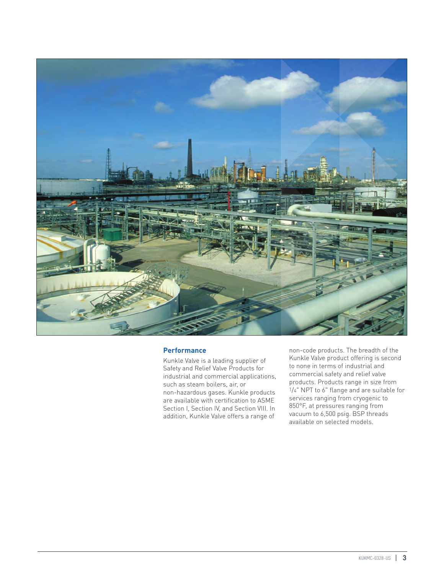

### **Performance**

Kunkle Valve is a leading supplier of Safety and Relief Valve Products for industrial and commercial applications, such as steam boilers, air, or non-hazardous gases. Kunkle products are available with certification to ASME Section I, Section IV, and Section VIII. In addition, Kunkle Valve offers a range of

non-code products. The breadth of the Kunkle Valve product offering is second to none in terms of industrial and commercial safety and relief valve products. Products range in size from 1/4" NPT to 6" flange and are suitable for services ranging from cryogenic to 850°F, at pressures ranging from vacuum to 6,500 psig. BSP threads available on selected models.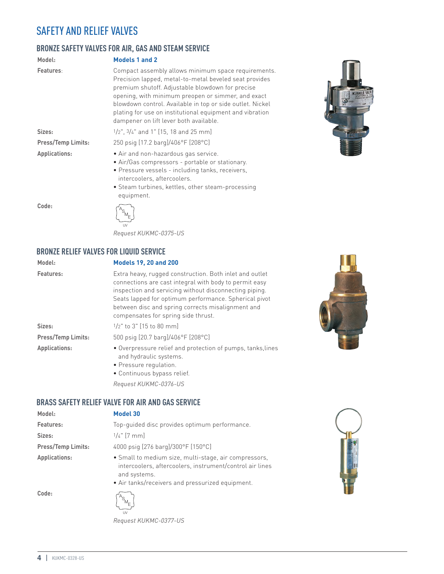# **Bronze Safety ValVeS for air, GaS and Steam SerVice**

| Model:               | <b>Models 1 and 2</b>                                                                                                                                                                                                                                                                                                                                                                      |  |
|----------------------|--------------------------------------------------------------------------------------------------------------------------------------------------------------------------------------------------------------------------------------------------------------------------------------------------------------------------------------------------------------------------------------------|--|
| Features:            | Compact assembly allows minimum space requirements.<br>Precision lapped, metal-to-metal beveled seat provides<br>premium shutoff. Adjustable blowdown for precise<br>opening, with minimum preopen or simmer, and exact<br>blowdown control. Available in top or side outlet. Nickel<br>plating for use on institutional equipment and vibration<br>dampener on lift lever both available. |  |
| Sizes:               | $1/2$ ", $3/4$ " and 1" [15, 18 and 25 mm]                                                                                                                                                                                                                                                                                                                                                 |  |
| Press/Temp Limits:   | 250 psig [17.2 barg]/406°F [208°C]                                                                                                                                                                                                                                                                                                                                                         |  |
| <b>Applications:</b> | • Air and non-hazardous gas service.<br>• Air/Gas compressors - portable or stationary.<br>· Pressure vessels - including tanks, receivers,<br>intercoolers, aftercoolers.<br>• Steam turbines, kettles, other steam-processing<br>equipment.                                                                                                                                              |  |
| Code:                | UV                                                                                                                                                                                                                                                                                                                                                                                         |  |



# **Bronze relief ValVeS for liquid SerVice**

| Model:                    | <b>Models 19, 20 and 200</b>                                                                                                                                                                                                                                                                                                     |
|---------------------------|----------------------------------------------------------------------------------------------------------------------------------------------------------------------------------------------------------------------------------------------------------------------------------------------------------------------------------|
| Features:                 | Extra heavy, rugged construction. Both inlet and outlet<br>connections are cast integral with body to permit easy<br>inspection and servicing without disconnecting piping.<br>Seats lapped for optimum performance. Spherical pivot<br>between disc and spring corrects misalignment and<br>compensates for spring side thrust. |
| Sizes:                    | $1/2$ " to 3" [15 to 80 mm]                                                                                                                                                                                                                                                                                                      |
| <b>Press/Temp Limits:</b> | 500 psig [20.7 barg]/406°F [208°C]                                                                                                                                                                                                                                                                                               |
| Applications:             | . Overpressure relief and protection of pumps, tanks, lines<br>and hydraulic systems.<br>• Pressure regulation.                                                                                                                                                                                                                  |



*Request KUKMC-0376-US*

# **BraSS Safety relief ValVe for air and GaS SerVice**

| Model:                    | Model 30                                                                                                                                                                              |
|---------------------------|---------------------------------------------------------------------------------------------------------------------------------------------------------------------------------------|
| Features:                 | Top-quided disc provides optimum performance.                                                                                                                                         |
| Sizes:                    | $1/4$ " [7 mm]                                                                                                                                                                        |
| <b>Press/Temp Limits:</b> | 4000 psig [276 barg]/300°F [150°C]                                                                                                                                                    |
| <b>Applications:</b>      | • Small to medium size, multi-stage, air compressors,<br>intercoolers, aftercoolers, instrument/control air lines<br>and systems.<br>• Air tanks/receivers and pressurized equipment. |
| Code:                     |                                                                                                                                                                                       |

**Code:**



*Request KUKMC-0377-US*





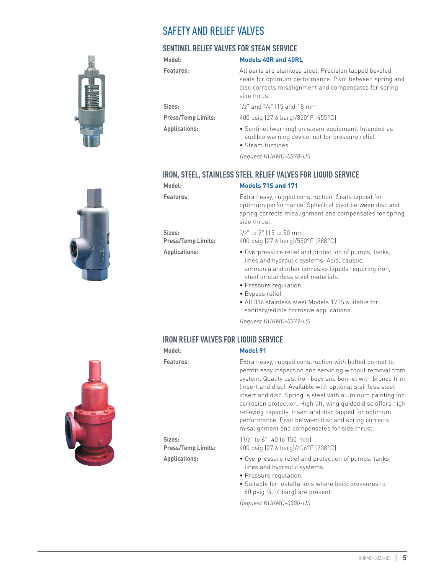# **Sentinel relief ValVeS for Steam SerVice**

### **Model: Models 40R and 40RL**



**Features**: All parts are stainless steel. Precision lapped beveled seats for optimum performance. Pivot between spring and disc corrects misalignment and compensates for spring side thrust.

**Sizes:** 1/2" and 3/4" [15 and 18 mm]

**Press/Temp Limits:** 400 psig [27.6 barg]/850°F [455°C]

- **Applications:**  Sentinel (warning) on steam equipment. Intended as audible warning device, not for pressure relief.
	- Steam turbines.

*Request KUKMC-0378-US*

# **iron, Steel, StainleSS Steel relief ValVeS for liquid SerVice**

### **Model: Models 71S and 171**

**Features**: Extra heavy, rugged construction. Seats lapped for optimum performance. Spherical pivot between disc and spring corrects misalignment and compensates for spring side thrust.

**Sizes:** 1/2" to 2" [15 to 50 mm] **Press/Temp Limits:** 400 psig [27.6 barg]/550°F [288°C]

- **Applications:** Overpressure relief and protection of pumps, tanks, lines and hydraulic systems. Acid, caustic, ammonia and other corrosive liquids requiring iron, steel or stainless steel materials.
	- Pressure regulation.
	- Bypass relief.
	- All 316 stainless steel Models 171S suitable for sanitary/edible corrosive applications.

*Request KUKMC-0379-US*

# **iron relief ValVeS for liquid SerVice**

### **Model: Model 91**

Features: Extra heavy, rugged construction with bolted bonnet to permit easy inspection and servicing without removal from system. Quality cast iron body and bonnet with bronze trim (insert and disc). Available with optional stainless steel insert and disc. Spring is steel with aluminum painting for corrosion protection. High lift, wing guided disc offers high relieving capacity. Insert and disc lapped for optimum performance. Pivot between disc and spring corrects misalignment and compensates for side thrust.

**Sizes:** 11/2" to 6" [40 to 150 mm] **Press/Temp Limits:** 400 psig [27.6 barg]/406°F [208°C]

- **Applications:** Overpressure relief and protection of pumps, tanks, lines and hydraulic systems.
	- Pressure regulation.
	- Suitable for installations where back pressures to 60 psig [4.14 barg] are present.

*Request KUKMC-0380-US*

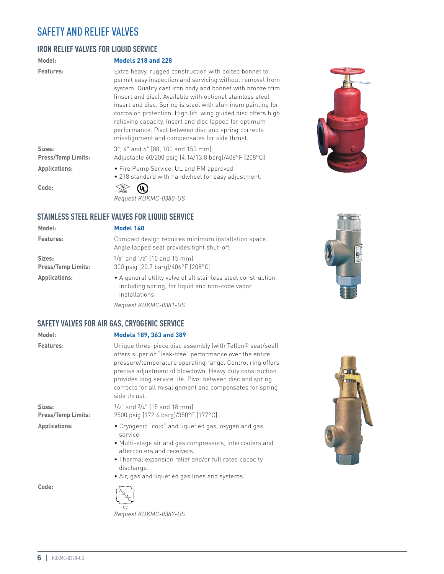# **iron relief ValVeS for liquid SerVice**

| Model:                              | <b>Models 218 and 228</b>                                                                                                                                                                                                                                                                                                                                                                                                                                                                                                                         |
|-------------------------------------|---------------------------------------------------------------------------------------------------------------------------------------------------------------------------------------------------------------------------------------------------------------------------------------------------------------------------------------------------------------------------------------------------------------------------------------------------------------------------------------------------------------------------------------------------|
| Features:                           | Extra heavy, rugged construction with bolted bonnet to<br>permit easy inspection and servicing without removal from<br>system. Quality cast iron body and bonnet with bronze trim<br>(insert and disc). Available with optional stainless steel<br>insert and disc. Spring is steel with aluminum painting for<br>corrosion protection. High lift, wing guided disc offers high<br>relieving capacity. Insert and disc lapped for optimum<br>performance. Pivot between disc and spring corrects<br>misalignment and compensates for side thrust. |
| Sizes:<br><b>Press/Temp Limits:</b> | 3", 4" and 6" [80, 100 and 150 mm]<br>Adjustable 60/200 psig [4.14/13.8 barg]/406°F [208°C]                                                                                                                                                                                                                                                                                                                                                                                                                                                       |
| <b>Applications:</b>                | • Fire Pump Service, UL and FM approved.<br>• 218 standard with handwheel for easy adjustment.                                                                                                                                                                                                                                                                                                                                                                                                                                                    |



**Code:**

 $\textcircled{\tiny{fM}}$ (h) *Request KUKMC-0380-US*

# **StainleSS Steel relief ValVeS for liquid SerVice**

| Model:                              | Model 140                                                                                                                           |
|-------------------------------------|-------------------------------------------------------------------------------------------------------------------------------------|
| Features:                           | Compact design requires minimum installation space.<br>Angle lapped seat provides tight shut-off.                                   |
| Sizes:<br><b>Press/Temp Limits:</b> | $3/8$ " and $1/2$ " [10 and 15 mm]<br>300 psig [20.7 barg]/406°F [208°C]                                                            |
| <b>Applications:</b>                | • A general utility valve of all stainless steel construction,<br>including spring, for liquid and non-code vapor<br>installations. |
|                                     | Request KUKMC-0381-US                                                                                                               |

*Request KUKMC-0382-US*

 $M_{\mathsf{E}}$ UV

# **Safety ValVeS for air GaS, cryoGenic SerVice**

| Model:                       | <b>Models 189, 363 and 389</b>                                                                                                                                                                                                                                                                                                                                                        |
|------------------------------|---------------------------------------------------------------------------------------------------------------------------------------------------------------------------------------------------------------------------------------------------------------------------------------------------------------------------------------------------------------------------------------|
| Features:                    | Unique three-piece disc assembly (with Teflon® seat/seal)<br>offers superior "leak-free" performance over the entire<br>pressure/temperature operating range. Control ring offers<br>precise adjustment of blowdown. Heavy duty construction<br>provides long service life. Pivot between disc and spring<br>corrects for all misalignment and compensates for spring<br>side thrust. |
| Sizes:<br>Press/Temp Limits: | $1/2$ " and $3/4$ " [15 and 18 mm]<br>2500 psig [172.4 barg]/350°F [177°C]                                                                                                                                                                                                                                                                                                            |
| <b>Applications:</b>         | • Cryogenic "cold" and liquefied gas, oxygen and gas<br>service.<br>• Multi-stage air and gas compressors, intercoolers and<br>aftercoolers and receivers.<br>• Thermal expansion relief and/or full rated capacity<br>discharge.<br>• Air, gas and liquefied gas lines and systems.                                                                                                  |
| Code:                        | $A_{\rm S}$                                                                                                                                                                                                                                                                                                                                                                           |



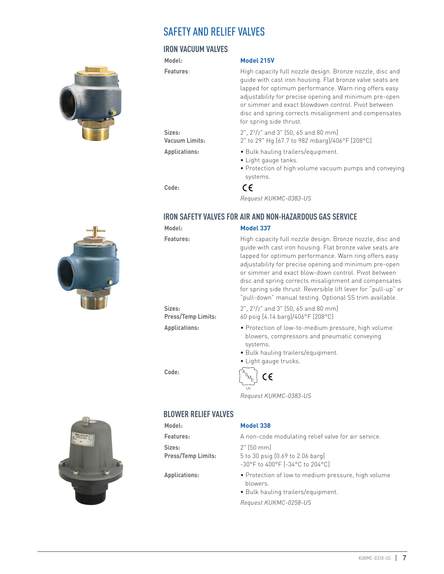## **iron Vacuum ValVeS**

# **Model: Model 215V**

Features: **High capacity full nozzle design. Bronze nozzle, disc and** guide with cast iron housing. Flat bronze valve seats are lapped for optimum performance. Warn ring offers easy adjustability for precise opening and minimum pre-open or simmer and exact blowdown control. Pivot between disc and spring corrects misalignment and compensates for spring side thrust.

**Sizes:** 2", 21/2" and 3" [50, 65 and 80 mm]

**Vacuum Limits:** 2" to 29" Hg [67.7 to 982 mbarg]/406°F [208°C]

- **Applications:** Bulk hauling trailers/equipment.
	- Light gauge tanks.
	- Protection of high volume vacuum pumps and conveying systems.

**Code:**

# $C\epsilon$

*Request KUKMC-0383-US*

### **iron Safety ValVeS for air and non-HazardouS GaS SerVice**

### **Model: Model 337**



Features: **High capacity full nozzle design. Bronze nozzle, disc and** guide with cast iron housing. Flat bronze valve seats are lapped for optimum performance. Warn ring offers easy adjustability for precise opening and minimum pre-open or simmer and exact blow-down control. Pivot between disc and spring corrects misalignment and compensates for spring side thrust. Reversible lift lever for "pull-up" or "pull-down" manual testing. Optional SS trim available.

**Sizes:** 2", 2<sup>1</sup>/2" and 3" [50, 65 and 80 mm] **Press/Temp Limits:** 60 psig [4.14 barg]/406°F [208°C]

- **Applications:** Protection of low-to-medium pressure, high volume blowers, compressors and pneumatic conveying systems.
	- Bulk hauling trailers/equipment.
	- Light gauge trucks.



*Request KUKMC-0383-US*



### **Blower relief ValVeS**

**Model: Model 338 Sizes:** 2" [50 mm]

**Code:**

Features: A non-code modulating relief valve for air service.

**Press/Temp Limits:** 5 to 30 psig [0.69 to 2.06 barg] -30°F to 400°F [-34°C to 204°C]

- **Applications:** Protection of low to medium pressure, high volume blowers.
	- Bulk hauling trailers/equipment.

*Request KUKMC-0258-US*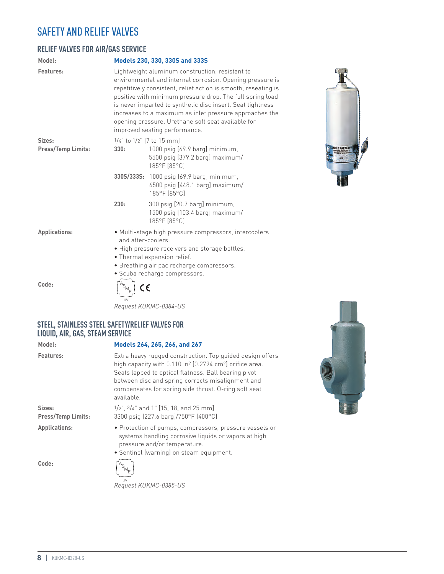# **relief ValVeS for air/GaS SerVice**

| Model:                    |                                                                                                                                                                                                                                            | Models 230, 330, 330S and 333S                                                                                                                                                                                                                                                                                                                                                                                                                              |
|---------------------------|--------------------------------------------------------------------------------------------------------------------------------------------------------------------------------------------------------------------------------------------|-------------------------------------------------------------------------------------------------------------------------------------------------------------------------------------------------------------------------------------------------------------------------------------------------------------------------------------------------------------------------------------------------------------------------------------------------------------|
| Features:                 |                                                                                                                                                                                                                                            | Lightweight aluminum construction, resistant to<br>environmental and internal corrosion. Opening pressure is<br>repetitively consistent, relief action is smooth, reseating is<br>positive with minimum pressure drop. The full spring load<br>is never imparted to synthetic disc insert. Seat tightness<br>increases to a maximum as inlet pressure approaches the<br>opening pressure. Urethane soft seat available for<br>improved seating performance. |
| Sizes:                    |                                                                                                                                                                                                                                            | 1/4" to 1/2" [7 to 15 mm]                                                                                                                                                                                                                                                                                                                                                                                                                                   |
| <b>Press/Temp Limits:</b> | 330:                                                                                                                                                                                                                                       | 1000 psig [69.9 barg] minimum,<br>5500 psig [379.2 barg] maximum/<br>185°F [85°C]                                                                                                                                                                                                                                                                                                                                                                           |
|                           |                                                                                                                                                                                                                                            | 3305/3335: 1000 psig [69.9 barg] minimum,<br>6500 psig [448.1 barg] maximum/<br>185°F [85°C]                                                                                                                                                                                                                                                                                                                                                                |
|                           | 230:                                                                                                                                                                                                                                       | 300 psig [20.7 barg] minimum,<br>1500 psig [103.4 barg] maximum/<br>185°F [85°C]                                                                                                                                                                                                                                                                                                                                                                            |
| <b>Applications:</b>      | · Multi-stage high pressure compressors, intercoolers<br>and after-coolers.<br>. High pressure receivers and storage bottles.<br>· Thermal expansion relief.<br>· Breathing air pac recharge compressors.<br>· Scuba recharge compressors. |                                                                                                                                                                                                                                                                                                                                                                                                                                                             |
| Code:                     | $\mathcal{S}_{\mathsf{M}_{\overline{F}}}$<br>CE                                                                                                                                                                                            |                                                                                                                                                                                                                                                                                                                                                                                                                                                             |

*Request KUKMC-0384-US* UV

### **Steel, StainleSS Steel Safety/relief ValVeS for liquid, air, GaS, Steam SerVice Model: Models 264, 265, 266, and 267**

| Model:                       | Models 264, 265, 266, and 267                                                                                                                                                                                                                                                                                                    |
|------------------------------|----------------------------------------------------------------------------------------------------------------------------------------------------------------------------------------------------------------------------------------------------------------------------------------------------------------------------------|
| Features:                    | Extra heavy rugged construction. Top guided design offers<br>high capacity with 0.110 in <sup>2</sup> [0.2794 cm <sup>2</sup> ] orifice area.<br>Seats lapped to optical flatness. Ball bearing pivot<br>between disc and spring corrects misalignment and<br>compensates for spring side thrust. O-ring soft seat<br>available. |
| Sizes:<br>Press/Temp Limits: | $1/2$ ", $3/4$ " and 1" [15, 18, and 25 mm]<br>3300 psig [227.6 barg]/750°F [400°C]                                                                                                                                                                                                                                              |
| <b>Applications:</b>         | · Protection of pumps, compressors, pressure vessels or<br>systems handling corrosive liquids or vapors at high<br>pressure and/or temperature.<br>· Sentinel (warning) on steam equipment.                                                                                                                                      |
| Code:                        | 1 IV<br>Request KUKMC-0385-US                                                                                                                                                                                                                                                                                                    |

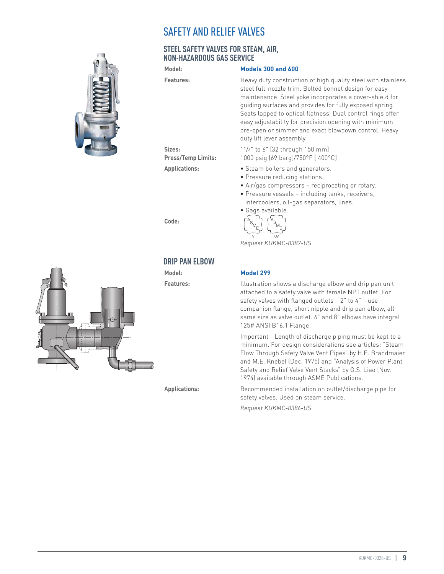### **Steel Safety ValVeS for Steam, air, non-HazardouS GaS SerVice**

### **Model: Models 300 and 600**

Features: **Heavy duty construction of high quality steel with stainless** steel full-nozzle trim. Bolted bonnet design for easy maintenance. Steel yoke incorporates a cover-shield for guiding surfaces and provides for fully exposed spring. Seats lapped to optical flatness. Dual control rings offer easy adjustability for precision opening with minimum pre-open or simmer and exact blowdown control. Heavy duty lift lever assembly.

**Sizes:** 11/4" to 6" [32 through 150 mm] **Press/Temp Limits:** 1000 psig [69 barg]/750°F [ 400°C]

- **Applications:** Steam boilers and generators.
	- Pressure reducing stations.
	- Air/gas compressors reciprocating or rotary.
	- Pressure vessels including tanks, receivers, intercoolers, oil-gas separators, lines.
	- Gags available.



*Request KUKMC-0387-US*

**Code:**

# **drip pan elBow**

**Model: Model 299** 

Features: **Illustration shows a discharge elbow and drip pan unit** attached to a safety valve with female NPT outlet. For safety valves with flanged outlets – 2" to 4" – use companion flange, short nipple and drip pan elbow, all same size as valve outlet. 6" and 8" elbows have integral 125# ANSI B16.1 Flange.

> Important - Length of discharge piping must be kept to a minimum. For design considerations see articles: "Steam Flow Through Safety Valve Vent Pipes" by H.E. Brandmaier and M.E. Knebel (Dec. 1975) and "Analysis of Power Plant Safety and Relief Valve Vent Stacks" by G.S. Liao (Nov. 1974) available through ASME Publications.

**Applications:** Recommended installation on outlet/discharge pipe for safety valves. Used on steam service.

*Request KUKMC-0386-US*

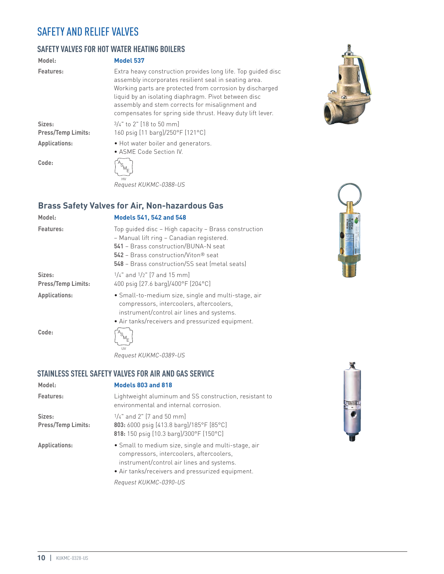# **Safety ValVeS for Hot water HeatinG BoilerS**

|  | .       |   |
|--|---------|---|
|  | 'oael : | , |
|  |         |   |

| Features:                           | Extra heavy construction provides long life. Top guided disc<br>assembly incorporates resilient seal in seating area.<br>Working parts are protected from corrosion by discharged<br>liquid by an isolating diaphragm. Pivot between disc<br>assembly and stem corrects for misalignment and<br>compensates for spring side thrust. Heavy duty lift lever. |
|-------------------------------------|------------------------------------------------------------------------------------------------------------------------------------------------------------------------------------------------------------------------------------------------------------------------------------------------------------------------------------------------------------|
| Sizes:<br><b>Press/Temp Limits:</b> | $3/4$ " to 2" [18 to 50 mm]<br>160 psig [11 barg]/250°F [121°C]                                                                                                                                                                                                                                                                                            |
| <b>Applications:</b>                | • Hot water boiler and generators.<br>• ASME Code Section IV.                                                                                                                                                                                                                                                                                              |
| Code:                               |                                                                                                                                                                                                                                                                                                                                                            |



 $Model:$ 



*Request KUKMC-0388-US* HV

# **Brass Safety Valves for Air, Non-hazardous Gas**

| Model:                              | <b>Models 541, 542 and 548</b>                                                                                                                                                                                                        |
|-------------------------------------|---------------------------------------------------------------------------------------------------------------------------------------------------------------------------------------------------------------------------------------|
| Features:                           | Top quided disc - High capacity - Brass construction<br>- Manual lift ring - Canadian registered.<br>541 - Brass construction/BUNA-N seat<br>$542$ – Brass construction/Viton® seat<br>548 - Brass construction/SS seat (metal seats) |
| Sizes:<br><b>Press/Temp Limits:</b> | $1/4$ " and $1/2$ " [7 and 15 mm]<br>400 psig [27.6 barg]/400°F [204°C]                                                                                                                                                               |
| <b>Applications:</b>                | · Small-to-medium size, single and multi-stage, air<br>compressors, intercoolers, aftercoolers,<br>instrument/control air lines and systems.<br>• Air tanks/receivers and pressurized equipment.                                      |
| Code:                               |                                                                                                                                                                                                                                       |

*Request KUKMC-0389-US* UV

# **StainleSS Steel Safety ValVeS for air and GaS SerVice**

| Model:                              | <b>Models 803 and 818</b>                                                                                                                                                                        |
|-------------------------------------|--------------------------------------------------------------------------------------------------------------------------------------------------------------------------------------------------|
| Features:                           | Lightweight aluminum and SS construction, resistant to<br>environmental and internal corrosion.                                                                                                  |
| Sizes:<br><b>Press/Temp Limits:</b> | $1/4$ " and 2" [7 and 50 mm]<br>803: 6000 psig [413.8 barg]/185°F [85°C]<br>818: 150 psig [10.3 barg]/300°F [150°C]                                                                              |
| <b>Applications:</b>                | • Small to medium size, single and multi-stage, air<br>compressors, intercoolers, aftercoolers,<br>instrument/control air lines and systems.<br>• Air tanks/receivers and pressurized equipment. |
|                                     | Request KUKMC-0390-US                                                                                                                                                                            |





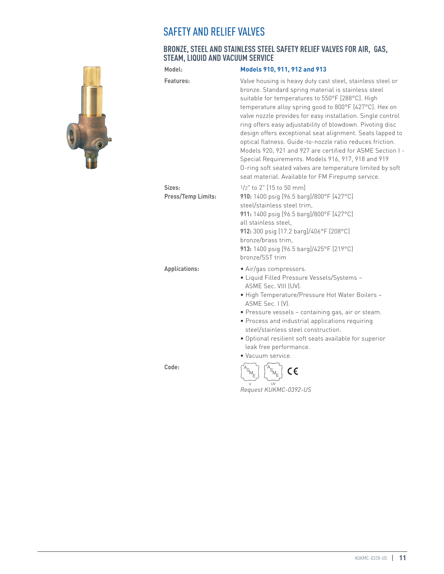### **Bronze, Steel and StainleSS Steel Safety relief ValVeS for air, GaS, Steam, liquid and Vacuum SerVice**

**Model: Models 910, 911, 912 and 913**



| Features:            | Valve housing is heavy duty cast steel, stainless steel or<br>bronze. Standard spring material is stainless steel<br>suitable for temperatures to 550°F [288°C]. High<br>temperature alloy spring good to 800°F [427°C]. Hex on<br>valve nozzle provides for easy installation. Single control<br>ring offers easy adjustability of blowdown. Pivoting disc<br>design offers exceptional seat alignment. Seats lapped to<br>optical flatness. Guide-to-nozzle ratio reduces friction.<br>Models 920, 921 and 927 are certified for ASME Section I -<br>Special Requirements. Models 916, 917, 918 and 919<br>O-ring soft seated valves are temperature limited by soft<br>seat material. Available for FM Firepump service. |
|----------------------|-----------------------------------------------------------------------------------------------------------------------------------------------------------------------------------------------------------------------------------------------------------------------------------------------------------------------------------------------------------------------------------------------------------------------------------------------------------------------------------------------------------------------------------------------------------------------------------------------------------------------------------------------------------------------------------------------------------------------------|
| Sizes:               | $1/2$ " to 2" [15 to 50 mm]                                                                                                                                                                                                                                                                                                                                                                                                                                                                                                                                                                                                                                                                                                 |
| Press/Temp Limits:   | 910: 1400 psig [96.5 barg]/800°F [427°C]                                                                                                                                                                                                                                                                                                                                                                                                                                                                                                                                                                                                                                                                                    |
|                      | steel/stainless steel trim.                                                                                                                                                                                                                                                                                                                                                                                                                                                                                                                                                                                                                                                                                                 |
|                      | 911: 1400 psig [96.5 barg]/800°F [427°C]                                                                                                                                                                                                                                                                                                                                                                                                                                                                                                                                                                                                                                                                                    |
|                      | all stainless steel.                                                                                                                                                                                                                                                                                                                                                                                                                                                                                                                                                                                                                                                                                                        |
|                      | 912: 300 psig [17.2 barg]/406°F [208°C]                                                                                                                                                                                                                                                                                                                                                                                                                                                                                                                                                                                                                                                                                     |
|                      | bronze/brass trim.                                                                                                                                                                                                                                                                                                                                                                                                                                                                                                                                                                                                                                                                                                          |
|                      | 913: 1400 psig [96.5 barg]/425°F [219°C]                                                                                                                                                                                                                                                                                                                                                                                                                                                                                                                                                                                                                                                                                    |
|                      | bronze/SST trim                                                                                                                                                                                                                                                                                                                                                                                                                                                                                                                                                                                                                                                                                                             |
| <b>Applications:</b> | • Air/gas compressors.                                                                                                                                                                                                                                                                                                                                                                                                                                                                                                                                                                                                                                                                                                      |
|                      | · Liquid Filled Pressure Vessels/Systems -<br>ASME Sec. VIII (UV).                                                                                                                                                                                                                                                                                                                                                                                                                                                                                                                                                                                                                                                          |
|                      | • High Temperature/Pressure Hot Water Boilers -<br>ASME Sec. I (V).                                                                                                                                                                                                                                                                                                                                                                                                                                                                                                                                                                                                                                                         |
|                      | · Pressure vessels - containing gas, air or steam.                                                                                                                                                                                                                                                                                                                                                                                                                                                                                                                                                                                                                                                                          |
|                      | • Process and industrial applications requiring                                                                                                                                                                                                                                                                                                                                                                                                                                                                                                                                                                                                                                                                             |
|                      | steel/stainless steel construction.                                                                                                                                                                                                                                                                                                                                                                                                                                                                                                                                                                                                                                                                                         |
|                      | · Optional resilient soft seats available for superior                                                                                                                                                                                                                                                                                                                                                                                                                                                                                                                                                                                                                                                                      |
|                      | leak free performance.                                                                                                                                                                                                                                                                                                                                                                                                                                                                                                                                                                                                                                                                                                      |
|                      | · Vacuum service.                                                                                                                                                                                                                                                                                                                                                                                                                                                                                                                                                                                                                                                                                                           |
| Code:                | C€                                                                                                                                                                                                                                                                                                                                                                                                                                                                                                                                                                                                                                                                                                                          |
|                      |                                                                                                                                                                                                                                                                                                                                                                                                                                                                                                                                                                                                                                                                                                                             |
|                      | Request KUKMC-0392-US                                                                                                                                                                                                                                                                                                                                                                                                                                                                                                                                                                                                                                                                                                       |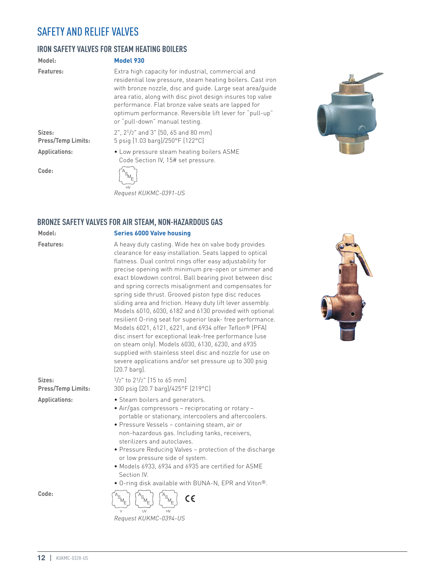## **iron Safety ValVeS for Steam HeatinG BoilerS**

| Model:                              | Model 930                                                                                                                                                                                                                                                                                                                                                                                        |
|-------------------------------------|--------------------------------------------------------------------------------------------------------------------------------------------------------------------------------------------------------------------------------------------------------------------------------------------------------------------------------------------------------------------------------------------------|
| Features:                           | Extra high capacity for industrial, commercial and<br>residential low pressure, steam heating boilers. Cast iron<br>with bronze nozzle, disc and guide. Large seat area/quide<br>area ratio, along with disc pivot design insures top valve<br>performance. Flat bronze valve seats are lapped for<br>optimum performance. Reversible lift lever for "pull-up"<br>or "pull-down" manual testing. |
| Sizes:<br><b>Press/Temp Limits:</b> | $2"$ , $2^{1}/2"$ and $3"$ [50, 65 and 80 mm]<br>5 psig [1.03 barg]/250°F [122°C]                                                                                                                                                                                                                                                                                                                |
| Applications:                       | • Low pressure steam heating boilers ASME<br>Code Section IV, 15# set pressure.                                                                                                                                                                                                                                                                                                                  |
| Code:                               |                                                                                                                                                                                                                                                                                                                                                                                                  |



**Code:**

**Model: Series 6000 Valve housing** 

**Bronze Safety ValVeS for air Steam, non-HazardouS GaS**

*Request KUKMC-0391-US* HV

**Code:**

### **Features:** A heavy duty casting. Wide hex on valve body provides clearance for easy installation. Seats lapped to optical flatness. Dual control rings offer easy adjustability for precise opening with minimum pre-open or simmer and exact blowdown control. Ball bearing pivot between disc and spring corrects misalignment and compensates for spring side thrust. Grooved piston type disc reduces sliding area and friction. Heavy duty lift lever assembly. Models 6010, 6030, 6182 and 6130 provided with optional resilient O-ring seat for superior leak- free performance. Models 6021, 6121, 6221, and 6934 offer Teflon® (PFA) disc insert for exceptional leak-free performance (use on steam only). Models 6030, 6130, 6230, and 6935 supplied with stainless steel disc and nozzle for use on severe applications and/or set pressure up to 300 psig [20.7 barg].

**Sizes:** <sup>1</sup>/2" to 2<sup>1</sup>/2" [15 to 65 mm] **Press/Temp Limits:** 300 psig [20.7 barg]/425°F [219°C]

- **Applications:** Steam boilers and generators.
	- Air/gas compressors reciprocating or rotary portable or stationary, intercoolers and aftercoolers.
	- Pressure Vessels containing steam, air or non-hazardous gas. Including tanks, receivers, sterilizers and autoclaves.
	- Pressure Reducing Valves protection of the discharge or low pressure side of system.
	- Models 6933, 6934 and 6935 are certified for ASME Section IV.
	- O-ring disk available with BUNA-N, EPR and Viton®.



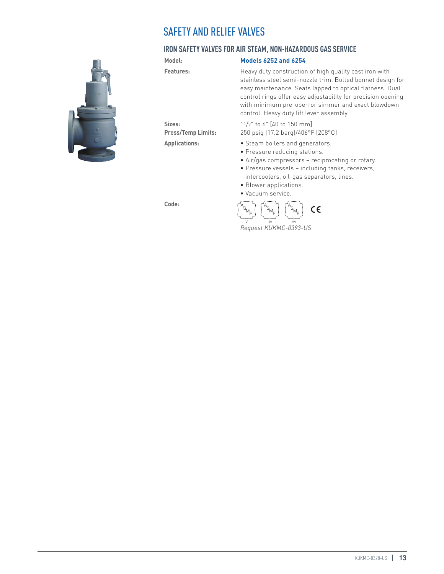# **iron Safety ValVeS for air Steam, non-HazardouS GaS SerVice**

### **Model: Models 6252 and 6254**



**Code:**

Features: **Heavy duty construction of high quality cast iron with** stainless steel semi-nozzle trim. Bolted bonnet design for easy maintenance. Seats lapped to optical flatness. Dual control rings offer easy adjustability for precision opening with minimum pre-open or simmer and exact blowdown control. Heavy duty lift lever assembly.

**Sizes:** 11/2" to 6" [40 to 150 mm] **Press/Temp Limits:** 250 psig [17.2 barg]/406°F [208°C]

- **Applications:** Steam boilers and generators.
	- Pressure reducing stations.
	- Air/gas compressors reciprocating or rotary.
	- Pressure vessels including tanks, receivers, intercoolers, oil-gas separators, lines.
	- Blower applications.
	- Vacuum service.



*Request KUKMC-0393-US*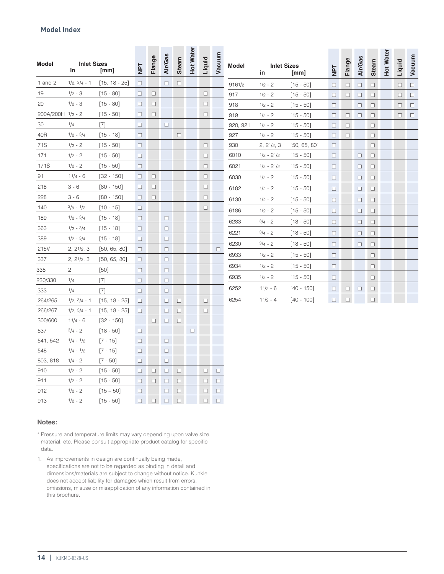### **Model Index**

| <b>Model</b>      | <b>Inlet Sizes</b><br>in      | [mm]            | TdN    | Flange | Air/Gas | Steam  | <b>Hot Water</b> | Liquid | Vacuum | <b>Model</b> | <b>Inlet Sizes</b><br>in<br>[mm] |              |        | Flange | Air/Gas | Steam           | <b>Hot Water</b> | Liquid | Vacuum |
|-------------------|-------------------------------|-----------------|--------|--------|---------|--------|------------------|--------|--------|--------------|----------------------------------|--------------|--------|--------|---------|-----------------|------------------|--------|--------|
| 1 and 2           | $1/2$ , $3/4$ - 1             | $[15, 18 - 25]$ | $\Box$ |        | $\Box$  | $\Box$ |                  |        |        | 9161/2       | $1/2 - 2$                        | $[15 - 50]$  | $\Box$ | $\Box$ | $\Box$  | $\Box$          |                  | $\Box$ | $\Box$ |
| 19                | $1/2 - 3$                     | $[15 - 80]$     | $\Box$ | $\Box$ |         |        |                  | $\Box$ |        | 917          | $1/2 - 2$                        | $[15 - 50]$  | $\Box$ | $\Box$ | $\Box$  | $\Box$          |                  | $\Box$ | $\Box$ |
| 20                | $1/2 - 3$                     | $[15 - 80]$     | $\Box$ | $\Box$ |         |        |                  | $\Box$ |        | 918          | $1/2 - 2$                        | $[15 - 50]$  | $\Box$ |        | $\Box$  | $\Box$          |                  | □      | $\Box$ |
| 200A/200H 1/2 - 2 |                               | $[15 - 50]$     | $\Box$ | $\Box$ |         |        |                  | $\Box$ |        | 919          | $1/2 - 2$                        | $[15 - 50]$  | $\Box$ | $\Box$ | $\Box$  | $\Box$          |                  | $\Box$ | $\Box$ |
| 30                | 1/4                           | $[7]$           | $\Box$ |        | $\Box$  |        |                  |        |        | 920, 921     | $1/2 - 2$                        | $[15 - 50]$  | $\Box$ | $\Box$ |         | $\Box$          |                  |        |        |
| 40R               | $1/2 - 3/4$                   | $[15 - 18]$     | $\Box$ |        |         | $\Box$ |                  |        |        | 927          | $1/2 - 2$                        | $[15 - 50]$  | $\Box$ | $\Box$ |         | $\Box$          |                  |        |        |
| 71S               | $1/2 - 2$                     | $[15 - 50]$     | $\Box$ |        |         |        |                  | $\Box$ |        | 930          | 2, 21/2, 3                       | [50, 65, 80] | $\Box$ |        |         | $\Box$          |                  |        |        |
| 171               | $1/2 - 2$                     | $[15 - 50]$     | $\Box$ |        |         |        |                  | $\Box$ |        | 6010         | $1/2 - 21/2$                     | $[15 - 50]$  | $\Box$ |        | $\Box$  | $\Box$          |                  |        |        |
| 171S              | $1/2 - 2$                     | $[15 - 50]$     | $\Box$ |        |         |        |                  | $\Box$ |        | 6021         | $1/2 - 21/2$                     | $[15 - 50]$  | $\Box$ |        | $\Box$  | $\Box$          |                  |        |        |
| 91                | $11/4 - 6$                    | $[32 - 150]$    | $\Box$ | $\Box$ |         |        |                  | $\Box$ |        | 6030         | $1/2 - 2$                        | $[15 - 50]$  | $\Box$ |        | $\Box$  | $\Box$          |                  |        |        |
| 218               | $3 - 6$                       | $[80 - 150]$    | $\Box$ | $\Box$ |         |        |                  | $\Box$ |        | 6182         | $1/2 - 2$                        | $[15 - 50]$  | $\Box$ |        | $\Box$  | $\Box$          |                  |        |        |
| 228               | $3 - 6$                       | $[80 - 150]$    | $\Box$ | $\Box$ |         |        |                  | $\Box$ |        | 6130         | $1/2 - 2$                        | $[15 - 50]$  | $\Box$ |        | $\Box$  | $\Box$          |                  |        |        |
| 140               | $\frac{3}{8}$ - $\frac{1}{2}$ | $[10 - 15]$     | $\Box$ |        |         |        |                  | $\Box$ |        | 6186         | $1/2 - 2$                        | $[15 - 50]$  | $\Box$ |        | $\Box$  | $\Box$          |                  |        |        |
| 189               | $1/2 - 3/4$                   | $[15 - 18]$     | $\Box$ |        | $\Box$  |        |                  |        |        | 6283         | $3/4 - 2$                        | $[18 - 50]$  | $\Box$ |        | $\Box$  | $\Box$          |                  |        |        |
| 363               | $1/2 - 3/4$                   | $[15 - 18]$     | $\Box$ |        | $\Box$  |        |                  |        |        | 6221         | $3/4 - 2$                        | $[18 - 50]$  | $\Box$ |        | $\Box$  | $\Box$          |                  |        |        |
| 389               | $1/2 - 3/4$                   | $[15 - 18]$     | $\Box$ |        | $\Box$  |        |                  |        |        |              |                                  |              |        |        |         |                 |                  |        |        |
| 215V              | 2, 21/2, 3                    | [50, 65, 80]    | $\Box$ |        | $\Box$  |        |                  |        | $\Box$ | 6230         | $3/4 - 2$                        | $[18 - 50]$  | $\Box$ |        | $\Box$  | $\Box$          |                  |        |        |
| 337               | 2, 21/2, 3                    | [50, 65, 80]    | $\Box$ |        | $\Box$  |        |                  |        |        | 6933         | $1/2 - 2$                        | $[15 - 50]$  | $\Box$ |        |         | $\Box$          |                  |        |        |
| 338               | 2                             | $[50]$          | $\Box$ |        | $\Box$  |        |                  |        |        | 6934         | $1/2 - 2$                        | $[15 - 50]$  | $\Box$ |        |         | $\Box$          |                  |        |        |
| 230/330           | 1/4                           | $[7]$           | $\Box$ |        | $\Box$  |        |                  |        |        | 6935         | $1/2 - 2$                        | $[15 - 50]$  | $\Box$ |        |         | $\Box$          |                  |        |        |
| 333               | 1/4                           | $[7]$           | $\Box$ |        | $\Box$  |        |                  |        |        | 6252         | $11/2 - 6$                       | $[40 - 150]$ | $\Box$ | $\Box$ | $\Box$  | $\Box$          |                  |        |        |
| 264/265           | $1/2, 3/4 - 1$                | $[15, 18 - 25]$ | $\Box$ |        | $\Box$  | $\Box$ |                  | $\Box$ |        | 6254         | $11/2 - 4$                       | $[40 - 100]$ | $\Box$ | $\Box$ |         | $\hfill\square$ |                  |        |        |
| 266/267           | $1/2$ , $3/4$ - 1             | $[15, 18 - 25]$ | $\Box$ |        | $\Box$  | $\Box$ |                  | $\Box$ |        |              |                                  |              |        |        |         |                 |                  |        |        |
| 300/600           | $11/4 - 6$                    | $[32 - 150]$    |        | $\Box$ | $\Box$  | $\Box$ |                  |        |        |              |                                  |              |        |        |         |                 |                  |        |        |
| 537               | $3/4 - 2$                     | $[18 - 50]$     | $\Box$ |        |         |        | $\Box$           |        |        |              |                                  |              |        |        |         |                 |                  |        |        |
| 541, 542          | $1/4 - 1/2$                   | $[7 - 15]$      | $\Box$ |        | $\Box$  |        |                  |        |        |              |                                  |              |        |        |         |                 |                  |        |        |
| 548               | $1/4 - 1/2$                   | $[7 - 15]$      | $\Box$ |        | $\Box$  |        |                  |        |        |              |                                  |              |        |        |         |                 |                  |        |        |
| 803, 818          | $1/4 - 2$                     | $[7 - 50]$      | $\Box$ |        | $\Box$  |        |                  |        |        |              |                                  |              |        |        |         |                 |                  |        |        |
| 910               | $1/2 - 2$                     | $[15 - 50]$     | $\Box$ | $\Box$ | $\Box$  | $\Box$ |                  | $\Box$ | $\Box$ |              |                                  |              |        |        |         |                 |                  |        |        |
| 911               | $1/2 - 2$                     | $[15 - 50]$     | $\Box$ | $\Box$ | $\Box$  | $\Box$ |                  | $\Box$ | $\Box$ |              |                                  |              |        |        |         |                 |                  |        |        |

### **Notes:**

\* Pressure and temperature limits may vary depending upon valve size, material, etc. Please consult appropriate product catalog for specific data.

912  $1/2$   $[15 - 50]$   $\Box$   $\Box$   $\Box$   $\Box$ 913  $1/2 - 2$  [15 - 50]  $\Box$   $\Box$   $\Box$   $\Box$   $\Box$ 

1. As improvements in design are continually being made, specifications are not to be regarded as binding in detail and dimensions/materials are subject to change without notice. Kunkle does not accept liability for damages which result from errors, omissions, misuse or misapplication of any information contained in this brochure.